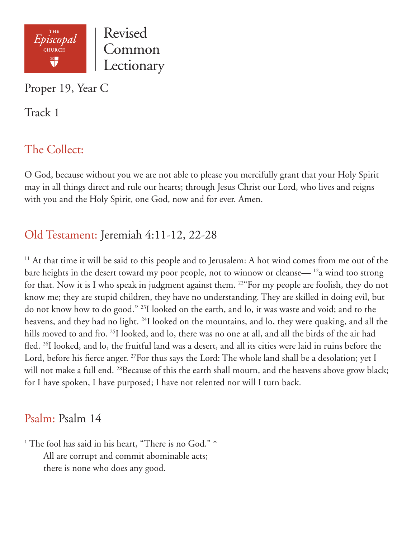

Proper 19, Year C

Track 1

## The Collect:

O God, because without you we are not able to please you mercifully grant that your Holy Spirit may in all things direct and rule our hearts; through Jesus Christ our Lord, who lives and reigns with you and the Holy Spirit, one God, now and for ever. Amen.

## Old Testament: Jeremiah 4:11-12, 22-28

<sup>11</sup> At that time it will be said to this people and to Jerusalem: A hot wind comes from me out of the bare heights in the desert toward my poor people, not to winnow or cleanse— 12a wind too strong for that. Now it is I who speak in judgment against them. 22"For my people are foolish, they do not know me; they are stupid children, they have no understanding. They are skilled in doing evil, but do not know how to do good." 23I looked on the earth, and lo, it was waste and void; and to the heavens, and they had no light. <sup>24</sup>I looked on the mountains, and lo, they were quaking, and all the hills moved to and fro. <sup>25</sup>I looked, and lo, there was no one at all, and all the birds of the air had fled. 26I looked, and lo, the fruitful land was a desert, and all its cities were laid in ruins before the Lord, before his fierce anger. <sup>27</sup>For thus says the Lord: The whole land shall be a desolation; yet I will not make a full end. <sup>28</sup>Because of this the earth shall mourn, and the heavens above grow black; for I have spoken, I have purposed; I have not relented nor will I turn back.

#### Psalm: Psalm 14

<sup>1</sup> The fool has said in his heart, "There is no God." \* All are corrupt and commit abominable acts; there is none who does any good.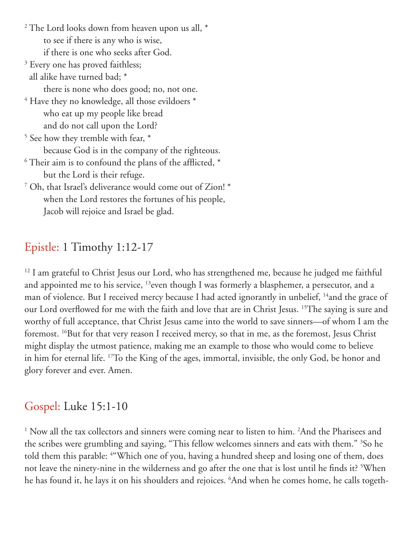$^2$  The Lord looks down from heaven upon us all,  $^\ast$  to see if there is any who is wise, if there is one who seeks after God.

- <sup>3</sup> Every one has proved faithless; all alike have turned bad; \* there is none who does good; no, not one.
- $^4$  Have they no knowledge, all those evildoers  $^\ast$  who eat up my people like bread and do not call upon the Lord?
- <sup>5</sup> See how they tremble with fear,  $*$  because God is in the company of the righteous.  $^6$  Their aim is to confound the plans of the afflicted,  $^\ast$ 
	- but the Lord is their refuge.
- 7 Oh, that Israel's deliverance would come out of Zion! \* when the Lord restores the fortunes of his people, Jacob will rejoice and Israel be glad.

# Epistle: 1 Timothy 1:12-17

<sup>12</sup> I am grateful to Christ Jesus our Lord, who has strengthened me, because he judged me faithful and appointed me to his service, <sup>13</sup>even though I was formerly a blasphemer, a persecutor, and a man of violence. But I received mercy because I had acted ignorantly in unbelief, <sup>14</sup>and the grace of our Lord overflowed for me with the faith and love that are in Christ Jesus. 15The saying is sure and worthy of full acceptance, that Christ Jesus came into the world to save sinners—of whom I am the foremost. 16But for that very reason I received mercy, so that in me, as the foremost, Jesus Christ might display the utmost patience, making me an example to those who would come to believe in him for eternal life. 17To the King of the ages, immortal, invisible, the only God, be honor and glory forever and ever. Amen.

## Gospel: Luke 15:1-10

<sup>1</sup> Now all the tax collectors and sinners were coming near to listen to him. <sup>2</sup>And the Pharisees and the scribes were grumbling and saying, "This fellow welcomes sinners and eats with them." <sup>3</sup>So he told them this parable: 4 "Which one of you, having a hundred sheep and losing one of them, does not leave the ninety-nine in the wilderness and go after the one that is lost until he finds it? 5 When he has found it, he lays it on his shoulders and rejoices. 6 And when he comes home, he calls togeth-